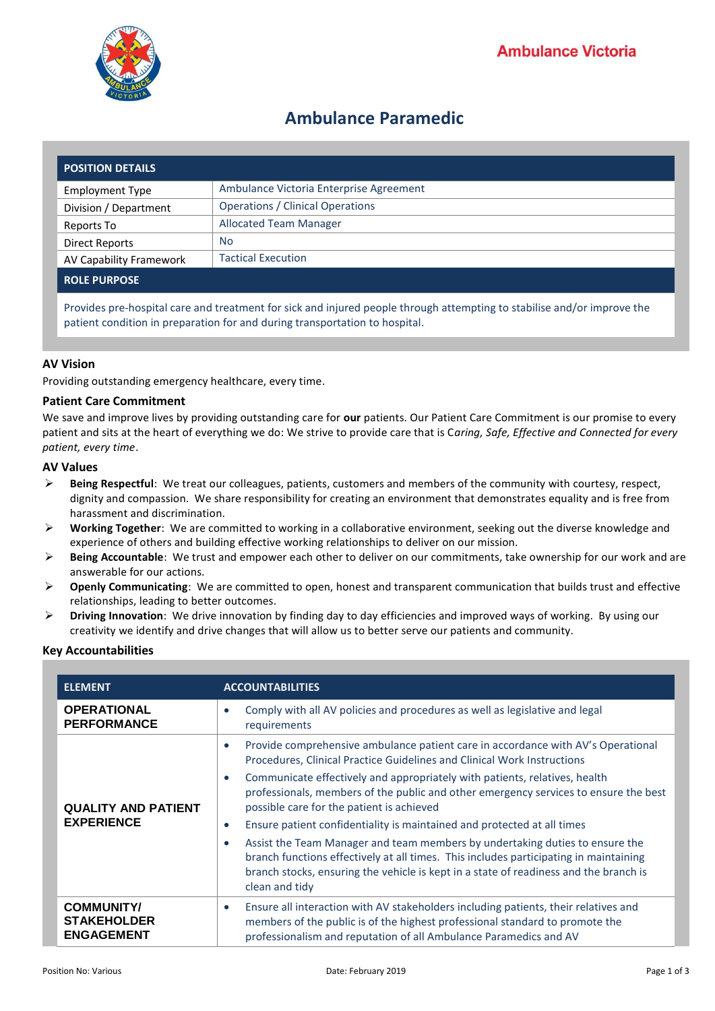

# **Ambulance Paramedic**

| <b>POSITION DETAILS</b> |                                         |
|-------------------------|-----------------------------------------|
| Employment Type         | Ambulance Victoria Enterprise Agreement |
| Division / Department   | <b>Operations / Clinical Operations</b> |
| Reports To              | <b>Allocated Team Manager</b>           |
| <b>Direct Reports</b>   | No.                                     |
| AV Capability Framework | <b>Tactical Execution</b>               |
| <b>ROLE PURPOSE</b>     |                                         |

Provides pre-hospital care and treatment for sick and injured people through attempting to stabilise and/or improve the patient condition in preparation for and during transportation to hospital.

# **AV Vision**

Providing outstanding emergency healthcare, every time.

# **Patient Care Commitment**

We save and improve lives by providing outstanding care for **our** patients. Our Patient Care Commitment is our promise to every patient and sits at the heart of everything we do: We strive to provide care that is C*aring, Safe, Effective and Connected for every patient, every time*.

## **AV Values**

- **Being Respectful**: We treat our colleagues, patients, customers and members of the community with courtesy, respect, dignity and compassion. We share responsibility for creating an environment that demonstrates equality and is free from harassment and discrimination.
- **Working Together**: We are committed to working in a collaborative environment, seeking out the diverse knowledge and experience of others and building effective working relationships to deliver on our mission.
- **Being Accountable**: We trust and empower each other to deliver on our commitments, take ownership for our work and are answerable for our actions.
- **Openly Communicating**: We are committed to open, honest and transparent communication that builds trust and effective relationships, leading to better outcomes.
- **Driving Innovation**: We drive innovation by finding day to day efficiencies and improved ways of working. By using our creativity we identify and drive changes that will allow us to better serve our patients and community.

## **Key Accountabilities**

| <b>ELEMENT</b>                                               | <b>ACCOUNTABILITIES</b>                                                                                                                                                                                                                                                          |
|--------------------------------------------------------------|----------------------------------------------------------------------------------------------------------------------------------------------------------------------------------------------------------------------------------------------------------------------------------|
| <b>OPERATIONAL</b><br><b>PERFORMANCE</b>                     | Comply with all AV policies and procedures as well as legislative and legal<br>requirements                                                                                                                                                                                      |
| <b>QUALITY AND PATIENT</b><br><b>EXPERIENCE</b>              | Provide comprehensive ambulance patient care in accordance with AV's Operational<br>$\bullet$<br>Procedures, Clinical Practice Guidelines and Clinical Work Instructions                                                                                                         |
|                                                              | Communicate effectively and appropriately with patients, relatives, health<br>$\bullet$<br>professionals, members of the public and other emergency services to ensure the best<br>possible care for the patient is achieved                                                     |
|                                                              | Ensure patient confidentiality is maintained and protected at all times<br>$\bullet$                                                                                                                                                                                             |
|                                                              | Assist the Team Manager and team members by undertaking duties to ensure the<br>branch functions effectively at all times. This includes participating in maintaining<br>branch stocks, ensuring the vehicle is kept in a state of readiness and the branch is<br>clean and tidy |
| <b>COMMUNITY/</b><br><b>STAKEHOLDER</b><br><b>ENGAGEMENT</b> | Ensure all interaction with AV stakeholders including patients, their relatives and<br>$\bullet$<br>members of the public is of the highest professional standard to promote the<br>professionalism and reputation of all Ambulance Paramedics and AV                            |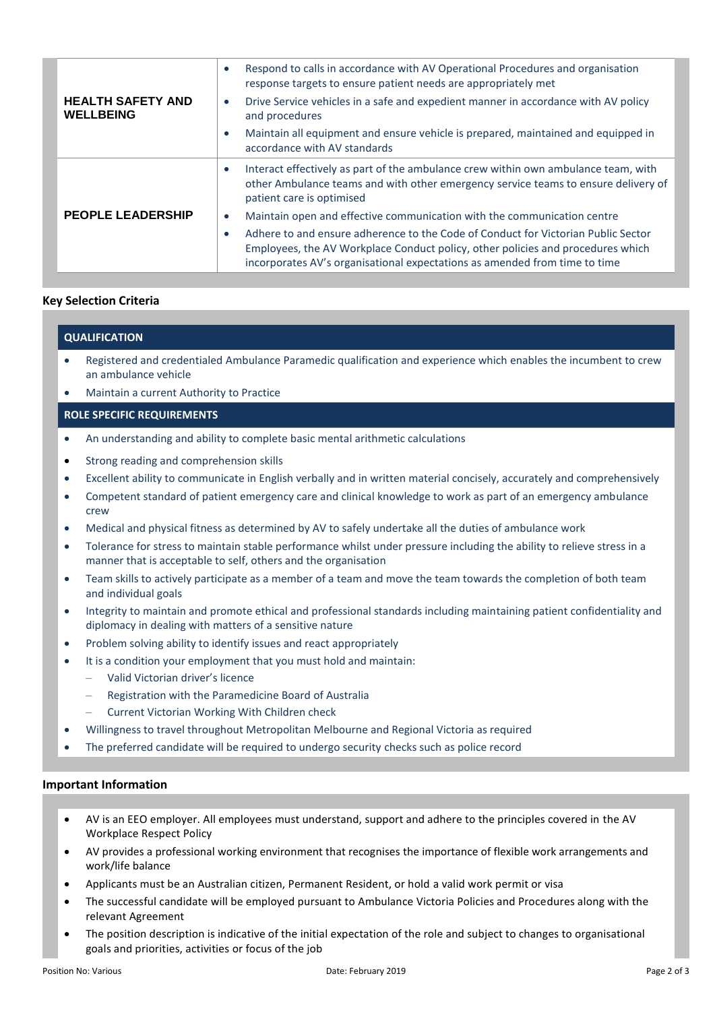|                                              | Respond to calls in accordance with AV Operational Procedures and organisation<br>$\bullet$<br>response targets to ensure patient needs are appropriately met                                                                                                   |
|----------------------------------------------|-----------------------------------------------------------------------------------------------------------------------------------------------------------------------------------------------------------------------------------------------------------------|
| <b>HEALTH SAFETY AND</b><br><b>WELLBEING</b> | Drive Service vehicles in a safe and expedient manner in accordance with AV policy<br>$\bullet$<br>and procedures                                                                                                                                               |
|                                              | Maintain all equipment and ensure vehicle is prepared, maintained and equipped in<br>$\bullet$<br>accordance with AV standards                                                                                                                                  |
|                                              | Interact effectively as part of the ambulance crew within own ambulance team, with<br>$\bullet$<br>other Ambulance teams and with other emergency service teams to ensure delivery of<br>patient care is optimised                                              |
| <b>PEOPLE LEADERSHIP</b>                     | Maintain open and effective communication with the communication centre<br>$\bullet$                                                                                                                                                                            |
|                                              | Adhere to and ensure adherence to the Code of Conduct for Victorian Public Sector<br>$\bullet$<br>Employees, the AV Workplace Conduct policy, other policies and procedures which<br>incorporates AV's organisational expectations as amended from time to time |

#### **Key Selection Criteria**

## **QUALIFICATION**

- Registered and credentialed Ambulance Paramedic qualification and experience which enables the incumbent to crew an ambulance vehicle
- Maintain a current Authority to Practice

#### **ROLE SPECIFIC REQUIREMENTS**

- An understanding and ability to complete basic mental arithmetic calculations
- Strong reading and comprehension skills
- Excellent ability to communicate in English verbally and in written material concisely, accurately and comprehensively
- Competent standard of patient emergency care and clinical knowledge to work as part of an emergency ambulance crew
- Medical and physical fitness as determined by AV to safely undertake all the duties of ambulance work
- Tolerance for stress to maintain stable performance whilst under pressure including the ability to relieve stress in a manner that is acceptable to self, others and the organisation
- Team skills to actively participate as a member of a team and move the team towards the completion of both team and individual goals
- Integrity to maintain and promote ethical and professional standards including maintaining patient confidentiality and diplomacy in dealing with matters of a sensitive nature
- Problem solving ability to identify issues and react appropriately
- It is a condition your employment that you must hold and maintain:
	- Valid Victorian driver's licence
	- Registration with the Paramedicine Board of Australia
	- Current Victorian Working With Children check
- Willingness to travel throughout Metropolitan Melbourne and Regional Victoria as required
- The preferred candidate will be required to undergo security checks such as police record

#### **Important Information**

- AV is an EEO employer. All employees must understand, support and adhere to the principles covered in the AV Workplace Respect Policy
- AV provides a professional working environment that recognises the importance of flexible work arrangements and work/life balance
- Applicants must be an Australian citizen, Permanent Resident, or hold a valid work permit or visa
- The successful candidate will be employed pursuant to Ambulance Victoria Policies and Procedures along with the relevant Agreement
- The position description is indicative of the initial expectation of the role and subject to changes to organisational goals and priorities, activities or focus of the job